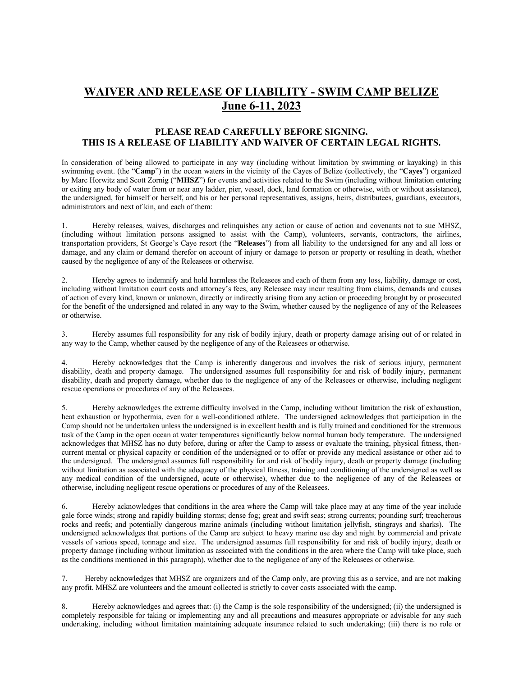## **WAIVER AND RELEASE OF LIABILITY - SWIM CAMP BELIZE June 6-11, 2023**

## **PLEASE READ CAREFULLY BEFORE SIGNING. THIS IS A RELEASE OF LIABILITY AND WAIVER OF CERTAIN LEGAL RIGHTS.**

In consideration of being allowed to participate in any way (including without limitation by swimming or kayaking) in this swimming event. (the "**Camp**") in the ocean waters in the vicinity of the Cayes of Belize (collectively, the "**Cayes**") organized by Marc Horwitz and Scott Zornig ("**MHSZ**") for events and activities related to the Swim (including without limitation entering or exiting any body of water from or near any ladder, pier, vessel, dock, land formation or otherwise, with or without assistance), the undersigned, for himself or herself, and his or her personal representatives, assigns, heirs, distributees, guardians, executors, administrators and next of kin, and each of them:

1. Hereby releases, waives, discharges and relinquishes any action or cause of action and covenants not to sue MHSZ, (including without limitation persons assigned to assist with the Camp), volunteers, servants, contractors, the airlines, transportation providers, St George's Caye resort (the "**Releases**") from all liability to the undersigned for any and all loss or damage, and any claim or demand therefor on account of injury or damage to person or property or resulting in death, whether caused by the negligence of any of the Releasees or otherwise.

2. Hereby agrees to indemnify and hold harmless the Releasees and each of them from any loss, liability, damage or cost, including without limitation court costs and attorney's fees, any Releasee may incur resulting from claims, demands and causes of action of every kind, known or unknown, directly or indirectly arising from any action or proceeding brought by or prosecuted for the benefit of the undersigned and related in any way to the Swim, whether caused by the negligence of any of the Releasees or otherwise.

3. Hereby assumes full responsibility for any risk of bodily injury, death or property damage arising out of or related in any way to the Camp, whether caused by the negligence of any of the Releasees or otherwise.

4. Hereby acknowledges that the Camp is inherently dangerous and involves the risk of serious injury, permanent disability, death and property damage. The undersigned assumes full responsibility for and risk of bodily injury, permanent disability, death and property damage, whether due to the negligence of any of the Releasees or otherwise, including negligent rescue operations or procedures of any of the Releasees.

5. Hereby acknowledges the extreme difficulty involved in the Camp, including without limitation the risk of exhaustion, heat exhaustion or hypothermia, even for a well-conditioned athlete. The undersigned acknowledges that participation in the Camp should not be undertaken unless the undersigned is in excellent health and is fully trained and conditioned for the strenuous task of the Camp in the open ocean at water temperatures significantly below normal human body temperature. The undersigned acknowledges that MHSZ has no duty before, during or after the Camp to assess or evaluate the training, physical fitness, thencurrent mental or physical capacity or condition of the undersigned or to offer or provide any medical assistance or other aid to the undersigned. The undersigned assumes full responsibility for and risk of bodily injury, death or property damage (including without limitation as associated with the adequacy of the physical fitness, training and conditioning of the undersigned as well as any medical condition of the undersigned, acute or otherwise), whether due to the negligence of any of the Releasees or otherwise, including negligent rescue operations or procedures of any of the Releasees.

6. Hereby acknowledges that conditions in the area where the Camp will take place may at any time of the year include gale force winds; strong and rapidly building storms; dense fog; great and swift seas; strong currents; pounding surf; treacherous rocks and reefs; and potentially dangerous marine animals (including without limitation jellyfish, stingrays and sharks). The undersigned acknowledges that portions of the Camp are subject to heavy marine use day and night by commercial and private vessels of various speed, tonnage and size. The undersigned assumes full responsibility for and risk of bodily injury, death or property damage (including without limitation as associated with the conditions in the area where the Camp will take place, such as the conditions mentioned in this paragraph), whether due to the negligence of any of the Releasees or otherwise.

7. Hereby acknowledges that MHSZ are organizers and of the Camp only, are proving this as a service, and are not making any profit. MHSZ are volunteers and the amount collected is strictly to cover costs associated with the camp.

8. Hereby acknowledges and agrees that: (i) the Camp is the sole responsibility of the undersigned; (ii) the undersigned is completely responsible for taking or implementing any and all precautions and measures appropriate or advisable for any such undertaking, including without limitation maintaining adequate insurance related to such undertaking; (iii) there is no role or